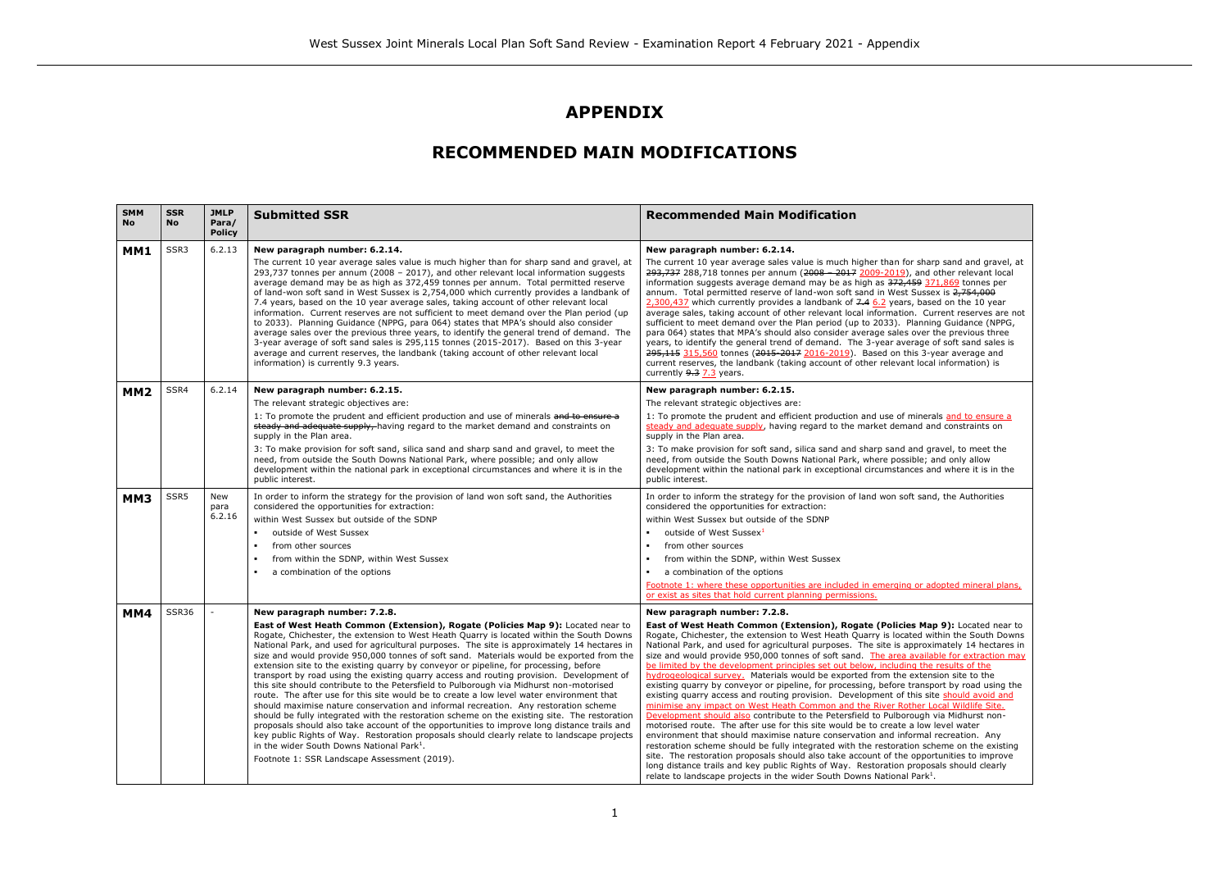narp sand and gravel, at d other relevant local information superant may be a  $\overline{\text{ssex}}$  is  $\overline{2,754,000}$ 2000, 2000, 2000, 2000, 2000, 2000, 2000, 2000, 2000, 2000, 2000, 2000, 2000, 2000, 2000, 2000, 2010 Current reserves are not sufficient to the Planning Guidance (NPPG, er the previous three e of soft sand sales is 3-year average and cal information) is

erals and to ensure a and constraints on

gravel, to meet the and only allow and where it is in the

and, the Authorities

adopted mineral plans,

**Eap 9):** Located near to within the South Downs oximately 14 hectares in ilable for extraction may **by the development principles** ension site to the isport by road using the site should avoid and r Local Wildlife Site. h via Midhurst non-.<br>w level water al recreation. Any  $s$ cheme on the existing sortunities to improve long distance training and the social sponger  $k^1$ .

# **APPENDIX**

# **RECOMMENDED MAIN MODIFICATIONS**

| <b>SMM</b><br><b>No</b> | <b>SSR</b><br>No | <b>JMLP</b><br>Para/<br><b>Policy</b> | <b>Submitted SSR</b>                                                                                                                                                                                                                                                                                                                                                                                                                                                                                                                                                                                                                                                                                                                                                                                                                                                                                                                                                                                                                                                                                                                                                                                                                             | <b>Recommended Main Modification</b>                                                                                                                                                                                                                                                                                                                                                                                                                                                                                                                                                                                                                                                                                                                                                                                                                                                                                                                                                                                                                                                                                                                                                           |
|-------------------------|------------------|---------------------------------------|--------------------------------------------------------------------------------------------------------------------------------------------------------------------------------------------------------------------------------------------------------------------------------------------------------------------------------------------------------------------------------------------------------------------------------------------------------------------------------------------------------------------------------------------------------------------------------------------------------------------------------------------------------------------------------------------------------------------------------------------------------------------------------------------------------------------------------------------------------------------------------------------------------------------------------------------------------------------------------------------------------------------------------------------------------------------------------------------------------------------------------------------------------------------------------------------------------------------------------------------------|------------------------------------------------------------------------------------------------------------------------------------------------------------------------------------------------------------------------------------------------------------------------------------------------------------------------------------------------------------------------------------------------------------------------------------------------------------------------------------------------------------------------------------------------------------------------------------------------------------------------------------------------------------------------------------------------------------------------------------------------------------------------------------------------------------------------------------------------------------------------------------------------------------------------------------------------------------------------------------------------------------------------------------------------------------------------------------------------------------------------------------------------------------------------------------------------|
| MM1                     | SSR3             | 6.2.13                                | New paragraph number: 6.2.14.<br>The current 10 year average sales value is much higher than for sharp sand and gravel, at                                                                                                                                                                                                                                                                                                                                                                                                                                                                                                                                                                                                                                                                                                                                                                                                                                                                                                                                                                                                                                                                                                                       | New paragraph number: 6.2.14.<br>The current 10 year average sales value is much higher than for shall                                                                                                                                                                                                                                                                                                                                                                                                                                                                                                                                                                                                                                                                                                                                                                                                                                                                                                                                                                                                                                                                                         |
|                         |                  |                                       | 293,737 tonnes per annum (2008 - 2017), and other relevant local information suggests<br>average demand may be as high as 372,459 tonnes per annum. Total permitted reserve<br>of land-won soft sand in West Sussex is 2,754,000 which currently provides a landbank of<br>7.4 years, based on the 10 year average sales, taking account of other relevant local<br>information. Current reserves are not sufficient to meet demand over the Plan period (up<br>to 2033). Planning Guidance (NPPG, para 064) states that MPA's should also consider<br>average sales over the previous three years, to identify the general trend of demand. The<br>3-year average of soft sand sales is 295,115 tonnes (2015-2017). Based on this 3-year<br>average and current reserves, the landbank (taking account of other relevant local<br>information) is currently 9.3 years.                                                                                                                                                                                                                                                                                                                                                                          | 293,737 288,718 tonnes per annum (2008 - 2017 2009-2019), and<br>information suggests average demand may be as high as 372,459 37<br>annum. Total permitted reserve of land-won soft sand in West Susse<br>2,300,437 which currently provides a landbank of 7.4 6.2 years, base<br>average sales, taking account of other relevant local information. Cu<br>sufficient to meet demand over the Plan period (up to 2033). Planni<br>para 064) states that MPA's should also consider average sales over<br>years, to identify the general trend of demand. The 3-year average<br>295,115 315,560 tonnes (2015 2017 2016-2019). Based on this 3-y<br>current reserves, the landbank (taking account of other relevant loca<br>currently 9.3 7.3 years.                                                                                                                                                                                                                                                                                                                                                                                                                                           |
| MM <sub>2</sub>         | SSR4             | 6.2.14                                | New paragraph number: 6.2.15.                                                                                                                                                                                                                                                                                                                                                                                                                                                                                                                                                                                                                                                                                                                                                                                                                                                                                                                                                                                                                                                                                                                                                                                                                    | New paragraph number: 6.2.15.                                                                                                                                                                                                                                                                                                                                                                                                                                                                                                                                                                                                                                                                                                                                                                                                                                                                                                                                                                                                                                                                                                                                                                  |
|                         |                  |                                       | The relevant strategic objectives are:                                                                                                                                                                                                                                                                                                                                                                                                                                                                                                                                                                                                                                                                                                                                                                                                                                                                                                                                                                                                                                                                                                                                                                                                           | The relevant strategic objectives are:                                                                                                                                                                                                                                                                                                                                                                                                                                                                                                                                                                                                                                                                                                                                                                                                                                                                                                                                                                                                                                                                                                                                                         |
|                         |                  |                                       | 1: To promote the prudent and efficient production and use of minerals and to ensure a<br>steady and adequate supply, having regard to the market demand and constraints on<br>supply in the Plan area.                                                                                                                                                                                                                                                                                                                                                                                                                                                                                                                                                                                                                                                                                                                                                                                                                                                                                                                                                                                                                                          | 1: To promote the prudent and efficient production and use of miner-<br>steady and adequate supply, having regard to the market demand a<br>supply in the Plan area.                                                                                                                                                                                                                                                                                                                                                                                                                                                                                                                                                                                                                                                                                                                                                                                                                                                                                                                                                                                                                           |
|                         |                  |                                       | 3: To make provision for soft sand, silica sand and sharp sand and gravel, to meet the<br>need, from outside the South Downs National Park, where possible; and only allow<br>development within the national park in exceptional circumstances and where it is in the<br>public interest.                                                                                                                                                                                                                                                                                                                                                                                                                                                                                                                                                                                                                                                                                                                                                                                                                                                                                                                                                       | 3: To make provision for soft sand, silica sand and sharp sand and g<br>need, from outside the South Downs National Park, where possible; a<br>development within the national park in exceptional circumstances a<br>public interest.                                                                                                                                                                                                                                                                                                                                                                                                                                                                                                                                                                                                                                                                                                                                                                                                                                                                                                                                                         |
| MM3                     | SSR5             | New<br>para                           | In order to inform the strategy for the provision of land won soft sand, the Authorities<br>considered the opportunities for extraction:                                                                                                                                                                                                                                                                                                                                                                                                                                                                                                                                                                                                                                                                                                                                                                                                                                                                                                                                                                                                                                                                                                         | In order to inform the strategy for the provision of land won soft san<br>considered the opportunities for extraction:                                                                                                                                                                                                                                                                                                                                                                                                                                                                                                                                                                                                                                                                                                                                                                                                                                                                                                                                                                                                                                                                         |
|                         |                  | 6.2.16                                | within West Sussex but outside of the SDNP                                                                                                                                                                                                                                                                                                                                                                                                                                                                                                                                                                                                                                                                                                                                                                                                                                                                                                                                                                                                                                                                                                                                                                                                       | within West Sussex but outside of the SDNP                                                                                                                                                                                                                                                                                                                                                                                                                                                                                                                                                                                                                                                                                                                                                                                                                                                                                                                                                                                                                                                                                                                                                     |
|                         |                  |                                       | outside of West Sussex                                                                                                                                                                                                                                                                                                                                                                                                                                                                                                                                                                                                                                                                                                                                                                                                                                                                                                                                                                                                                                                                                                                                                                                                                           | outside of West Sussex <sup>1</sup>                                                                                                                                                                                                                                                                                                                                                                                                                                                                                                                                                                                                                                                                                                                                                                                                                                                                                                                                                                                                                                                                                                                                                            |
|                         |                  |                                       | from other sources                                                                                                                                                                                                                                                                                                                                                                                                                                                                                                                                                                                                                                                                                                                                                                                                                                                                                                                                                                                                                                                                                                                                                                                                                               | from other sources<br>×                                                                                                                                                                                                                                                                                                                                                                                                                                                                                                                                                                                                                                                                                                                                                                                                                                                                                                                                                                                                                                                                                                                                                                        |
|                         |                  |                                       | from within the SDNP, within West Sussex                                                                                                                                                                                                                                                                                                                                                                                                                                                                                                                                                                                                                                                                                                                                                                                                                                                                                                                                                                                                                                                                                                                                                                                                         | from within the SDNP, within West Sussex                                                                                                                                                                                                                                                                                                                                                                                                                                                                                                                                                                                                                                                                                                                                                                                                                                                                                                                                                                                                                                                                                                                                                       |
|                         |                  |                                       | a combination of the options                                                                                                                                                                                                                                                                                                                                                                                                                                                                                                                                                                                                                                                                                                                                                                                                                                                                                                                                                                                                                                                                                                                                                                                                                     | a combination of the options                                                                                                                                                                                                                                                                                                                                                                                                                                                                                                                                                                                                                                                                                                                                                                                                                                                                                                                                                                                                                                                                                                                                                                   |
|                         |                  |                                       |                                                                                                                                                                                                                                                                                                                                                                                                                                                                                                                                                                                                                                                                                                                                                                                                                                                                                                                                                                                                                                                                                                                                                                                                                                                  | Footnote 1: where these opportunities are included in emerging or a<br>or exist as sites that hold current planning permissions.                                                                                                                                                                                                                                                                                                                                                                                                                                                                                                                                                                                                                                                                                                                                                                                                                                                                                                                                                                                                                                                               |
| MM4                     | <b>SSR36</b>     |                                       | New paragraph number: 7.2.8.                                                                                                                                                                                                                                                                                                                                                                                                                                                                                                                                                                                                                                                                                                                                                                                                                                                                                                                                                                                                                                                                                                                                                                                                                     | New paragraph number: 7.2.8.                                                                                                                                                                                                                                                                                                                                                                                                                                                                                                                                                                                                                                                                                                                                                                                                                                                                                                                                                                                                                                                                                                                                                                   |
|                         |                  |                                       | East of West Heath Common (Extension), Rogate (Policies Map 9): Located near to<br>Rogate, Chichester, the extension to West Heath Quarry is located within the South Downs<br>National Park, and used for agricultural purposes. The site is approximately 14 hectares in<br>size and would provide 950,000 tonnes of soft sand. Materials would be exported from the<br>extension site to the existing quarry by conveyor or pipeline, for processing, before<br>transport by road using the existing quarry access and routing provision. Development of<br>this site should contribute to the Petersfield to Pulborough via Midhurst non-motorised<br>route. The after use for this site would be to create a low level water environment that<br>should maximise nature conservation and informal recreation. Any restoration scheme<br>should be fully integrated with the restoration scheme on the existing site. The restoration<br>proposals should also take account of the opportunities to improve long distance trails and<br>key public Rights of Way. Restoration proposals should clearly relate to landscape projects<br>in the wider South Downs National Park <sup>1</sup> .<br>Footnote 1: SSR Landscape Assessment (2019). | East of West Heath Common (Extension), Rogate (Policies Ma<br>Rogate, Chichester, the extension to West Heath Quarry is located w<br>National Park, and used for agricultural purposes. The site is approx<br>size and would provide 950,000 tonnes of soft sand. The area availa<br>be limited by the development principles set out below, including the<br>hydrogeological survey. Materials would be exported from the exten<br>existing quarry by conveyor or pipeline, for processing, before transport<br>existing quarry access and routing provision. Development of this sit<br>minimise any impact on West Heath Common and the River Rother L<br>Development should also contribute to the Petersfield to Pulborough<br>motorised route. The after use for this site would be to create a low<br>environment that should maximise nature conservation and informal<br>restoration scheme should be fully integrated with the restoration scl<br>site. The restoration proposals should also take account of the oppor<br>long distance trails and key public Rights of Way. Restoration propor<br>relate to landscape projects in the wider South Downs National Park <sup>1</sup> |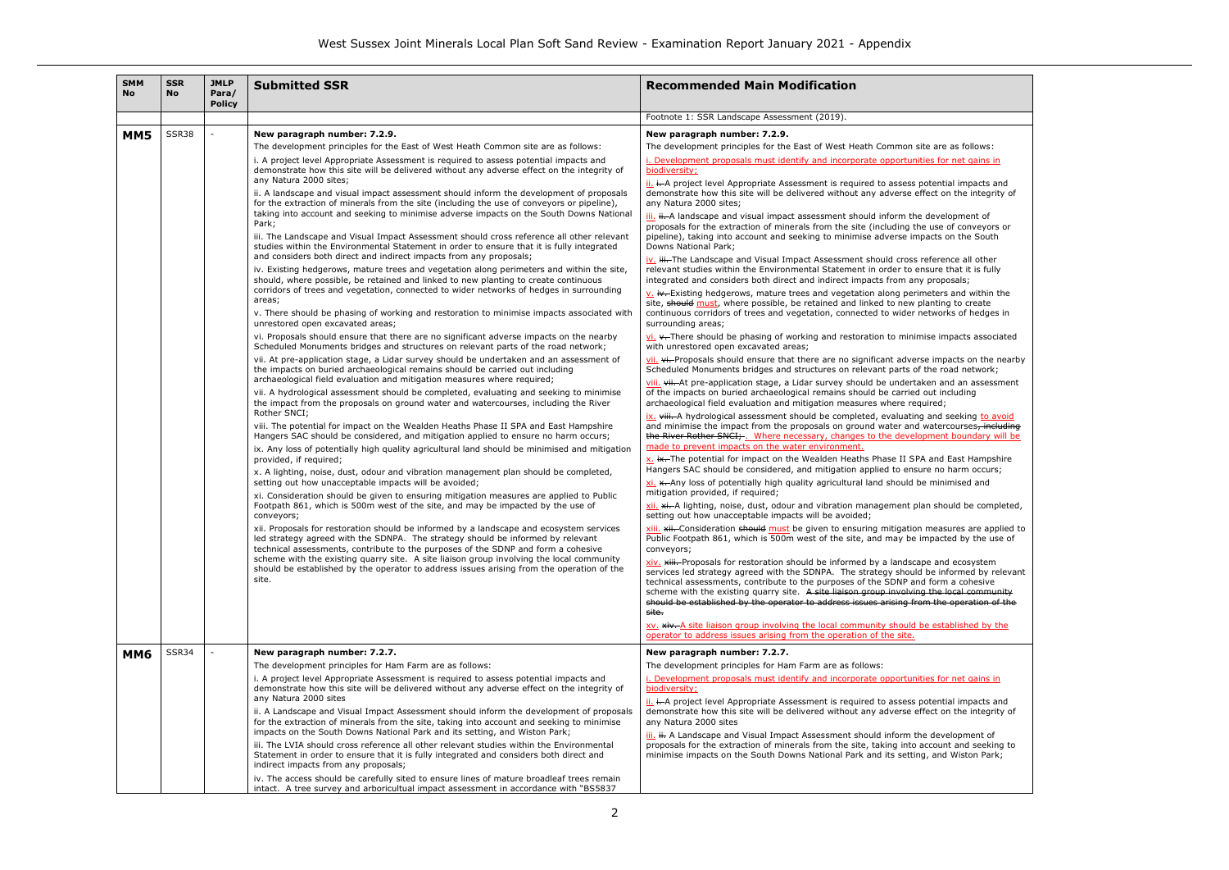### te are as follows: ies for net gains in

ise impacts associated

ve impacts on the nearby the road network;

ven and an assessment out including

and seeking to avoid watercourses<del>, including</del> there exercise, meaning

in should be completed,

measures are applied to  $m$ pacted by the use of

be and ecosystem be informed by relevant t form a cohesive s the local community  $m$  the operation of the

# ies for net gains in

| <b>SMM</b><br><b>No</b> | <b>SSR</b><br><b>No</b> | <b>JMLP</b><br>Para/<br><b>Policy</b> | <b>Submitted SSR</b>                                                                                                                                                                                                                                                                                                                                                                                                                                                                                                                                                                                                                                                                                                                                                                                                                                                                                                                                                                                                                                                                                                                                                                                                                                                                                                                                                                                                                                                                                                                                                           | <b>Recommended Main Modification</b>                                                                                                                                                                                                                    |                                                                                                    |
|-------------------------|-------------------------|---------------------------------------|--------------------------------------------------------------------------------------------------------------------------------------------------------------------------------------------------------------------------------------------------------------------------------------------------------------------------------------------------------------------------------------------------------------------------------------------------------------------------------------------------------------------------------------------------------------------------------------------------------------------------------------------------------------------------------------------------------------------------------------------------------------------------------------------------------------------------------------------------------------------------------------------------------------------------------------------------------------------------------------------------------------------------------------------------------------------------------------------------------------------------------------------------------------------------------------------------------------------------------------------------------------------------------------------------------------------------------------------------------------------------------------------------------------------------------------------------------------------------------------------------------------------------------------------------------------------------------|---------------------------------------------------------------------------------------------------------------------------------------------------------------------------------------------------------------------------------------------------------|----------------------------------------------------------------------------------------------------|
|                         |                         |                                       |                                                                                                                                                                                                                                                                                                                                                                                                                                                                                                                                                                                                                                                                                                                                                                                                                                                                                                                                                                                                                                                                                                                                                                                                                                                                                                                                                                                                                                                                                                                                                                                | Footnote 1: SSR Landscape Assessment (2019).                                                                                                                                                                                                            |                                                                                                    |
| MM5                     | SSR38                   |                                       | New paragraph number: 7.2.9.                                                                                                                                                                                                                                                                                                                                                                                                                                                                                                                                                                                                                                                                                                                                                                                                                                                                                                                                                                                                                                                                                                                                                                                                                                                                                                                                                                                                                                                                                                                                                   | New paragraph number: 7.2.9.                                                                                                                                                                                                                            |                                                                                                    |
|                         |                         |                                       | The development principles for the East of West Heath Common site are as follows:                                                                                                                                                                                                                                                                                                                                                                                                                                                                                                                                                                                                                                                                                                                                                                                                                                                                                                                                                                                                                                                                                                                                                                                                                                                                                                                                                                                                                                                                                              | The development principles for the East of West Heath Common site are as follows:                                                                                                                                                                       |                                                                                                    |
|                         |                         |                                       | i. A project level Appropriate Assessment is required to assess potential impacts and<br>demonstrate how this site will be delivered without any adverse effect on the integrity of                                                                                                                                                                                                                                                                                                                                                                                                                                                                                                                                                                                                                                                                                                                                                                                                                                                                                                                                                                                                                                                                                                                                                                                                                                                                                                                                                                                            | i. Development proposals must identify and incorporate opportunities for net gains in<br>biodiversity;                                                                                                                                                  |                                                                                                    |
|                         |                         |                                       | any Natura 2000 sites;<br>ii. A landscape and visual impact assessment should inform the development of proposals<br>for the extraction of minerals from the site (including the use of conveyors or pipeline),<br>taking into account and seeking to minimise adverse impacts on the South Downs National<br>Park;<br>iii. The Landscape and Visual Impact Assessment should cross reference all other relevant<br>studies within the Environmental Statement in order to ensure that it is fully integrated<br>and considers both direct and indirect impacts from any proposals;<br>iv. Existing hedgerows, mature trees and vegetation along perimeters and within the site,<br>should, where possible, be retained and linked to new planting to create continuous<br>corridors of trees and vegetation, connected to wider networks of hedges in surrounding<br>areas;<br>v. There should be phasing of working and restoration to minimise impacts associated with<br>unrestored open excavated areas;                                                                                                                                                                                                                                                                                                                                                                                                                                                                                                                                                                  | ii. i. A project level Appropriate Assessment is required to assess potential impacts and                                                                                                                                                               |                                                                                                    |
|                         |                         |                                       |                                                                                                                                                                                                                                                                                                                                                                                                                                                                                                                                                                                                                                                                                                                                                                                                                                                                                                                                                                                                                                                                                                                                                                                                                                                                                                                                                                                                                                                                                                                                                                                | demonstrate how this site will be delivered without any adverse effect on the integrity o<br>any Natura 2000 sites;                                                                                                                                     |                                                                                                    |
|                         |                         |                                       |                                                                                                                                                                                                                                                                                                                                                                                                                                                                                                                                                                                                                                                                                                                                                                                                                                                                                                                                                                                                                                                                                                                                                                                                                                                                                                                                                                                                                                                                                                                                                                                | iii. ii. A landscape and visual impact assessment should inform the development of                                                                                                                                                                      |                                                                                                    |
|                         |                         |                                       |                                                                                                                                                                                                                                                                                                                                                                                                                                                                                                                                                                                                                                                                                                                                                                                                                                                                                                                                                                                                                                                                                                                                                                                                                                                                                                                                                                                                                                                                                                                                                                                | proposals for the extraction of minerals from the site (including the use of conveyors or                                                                                                                                                               |                                                                                                    |
|                         |                         |                                       |                                                                                                                                                                                                                                                                                                                                                                                                                                                                                                                                                                                                                                                                                                                                                                                                                                                                                                                                                                                                                                                                                                                                                                                                                                                                                                                                                                                                                                                                                                                                                                                | pipeline), taking into account and seeking to minimise adverse impacts on the South<br>Downs National Park;                                                                                                                                             |                                                                                                    |
|                         |                         |                                       |                                                                                                                                                                                                                                                                                                                                                                                                                                                                                                                                                                                                                                                                                                                                                                                                                                                                                                                                                                                                                                                                                                                                                                                                                                                                                                                                                                                                                                                                                                                                                                                | iv. iii. The Landscape and Visual Impact Assessment should cross reference all other                                                                                                                                                                    |                                                                                                    |
|                         |                         |                                       |                                                                                                                                                                                                                                                                                                                                                                                                                                                                                                                                                                                                                                                                                                                                                                                                                                                                                                                                                                                                                                                                                                                                                                                                                                                                                                                                                                                                                                                                                                                                                                                | relevant studies within the Environmental Statement in order to ensure that it is fully<br>integrated and considers both direct and indirect impacts from any proposals;                                                                                |                                                                                                    |
|                         |                         |                                       |                                                                                                                                                                                                                                                                                                                                                                                                                                                                                                                                                                                                                                                                                                                                                                                                                                                                                                                                                                                                                                                                                                                                                                                                                                                                                                                                                                                                                                                                                                                                                                                | $\underline{v}$ . iv. Existing hedgerows, mature trees and vegetation along perimeters and within the                                                                                                                                                   |                                                                                                    |
|                         |                         |                                       |                                                                                                                                                                                                                                                                                                                                                                                                                                                                                                                                                                                                                                                                                                                                                                                                                                                                                                                                                                                                                                                                                                                                                                                                                                                                                                                                                                                                                                                                                                                                                                                | site, should must, where possible, be retained and linked to new planting to create<br>continuous corridors of trees and vegetation, connected to wider networks of hedges in<br>surrounding areas;                                                     |                                                                                                    |
|                         |                         |                                       | vi. Proposals should ensure that there are no significant adverse impacts on the nearby<br>Scheduled Monuments bridges and structures on relevant parts of the road network;                                                                                                                                                                                                                                                                                                                                                                                                                                                                                                                                                                                                                                                                                                                                                                                                                                                                                                                                                                                                                                                                                                                                                                                                                                                                                                                                                                                                   | $\underline{\mathsf{vi}}$ . $\star$ -There should be phasing of working and restoration to minimise impacts associate<br>with unrestored open excavated areas;                                                                                          |                                                                                                    |
|                         |                         |                                       | vii. At pre-application stage, a Lidar survey should be undertaken and an assessment of<br>the impacts on buried archaeological remains should be carried out including<br>archaeological field evaluation and mitigation measures where required;<br>vii. A hydrological assessment should be completed, evaluating and seeking to minimise<br>the impact from the proposals on ground water and watercourses, including the River<br>Rother SNCI;<br>viii. The potential for impact on the Wealden Heaths Phase II SPA and East Hampshire<br>Hangers SAC should be considered, and mitigation applied to ensure no harm occurs;<br>ix. Any loss of potentially high quality agricultural land should be minimised and mitigation<br>provided, if required;<br>x. A lighting, noise, dust, odour and vibration management plan should be completed,<br>setting out how unacceptable impacts will be avoided;<br>xi. Consideration should be given to ensuring mitigation measures are applied to Public<br>Footpath 861, which is 500m west of the site, and may be impacted by the use of<br>conveyors;<br>xii. Proposals for restoration should be informed by a landscape and ecosystem services<br>led strategy agreed with the SDNPA. The strategy should be informed by relevant<br>technical assessments, contribute to the purposes of the SDNP and form a cohesive<br>scheme with the existing quarry site. A site liaison group involving the local community<br>should be established by the operator to address issues arising from the operation of the<br>site. | vii. vi. Proposals should ensure that there are no significant adverse impacts on the near<br>Scheduled Monuments bridges and structures on relevant parts of the road network;                                                                         |                                                                                                    |
|                         |                         |                                       |                                                                                                                                                                                                                                                                                                                                                                                                                                                                                                                                                                                                                                                                                                                                                                                                                                                                                                                                                                                                                                                                                                                                                                                                                                                                                                                                                                                                                                                                                                                                                                                | viii. vii. At pre-application stage, a Lidar survey should be undertaken and an assessmer<br>of the impacts on buried archaeological remains should be carried out including<br>archaeological field evaluation and mitigation measures where required; |                                                                                                    |
|                         |                         |                                       |                                                                                                                                                                                                                                                                                                                                                                                                                                                                                                                                                                                                                                                                                                                                                                                                                                                                                                                                                                                                                                                                                                                                                                                                                                                                                                                                                                                                                                                                                                                                                                                | ix. viii. A hydrological assessment should be completed, evaluating and seeking to avoid                                                                                                                                                                |                                                                                                    |
|                         |                         |                                       |                                                                                                                                                                                                                                                                                                                                                                                                                                                                                                                                                                                                                                                                                                                                                                                                                                                                                                                                                                                                                                                                                                                                                                                                                                                                                                                                                                                                                                                                                                                                                                                | and minimise the impact from the proposals on ground water and watercourses, including<br>the River Rother SNCI; Where necessary, changes to the development boundary will be                                                                           |                                                                                                    |
|                         |                         |                                       |                                                                                                                                                                                                                                                                                                                                                                                                                                                                                                                                                                                                                                                                                                                                                                                                                                                                                                                                                                                                                                                                                                                                                                                                                                                                                                                                                                                                                                                                                                                                                                                | made to prevent impacts on the water environment.                                                                                                                                                                                                       |                                                                                                    |
|                         |                         |                                       |                                                                                                                                                                                                                                                                                                                                                                                                                                                                                                                                                                                                                                                                                                                                                                                                                                                                                                                                                                                                                                                                                                                                                                                                                                                                                                                                                                                                                                                                                                                                                                                | x. ix. The potential for impact on the Wealden Heaths Phase II SPA and East Hampshire                                                                                                                                                                   |                                                                                                    |
|                         |                         |                                       |                                                                                                                                                                                                                                                                                                                                                                                                                                                                                                                                                                                                                                                                                                                                                                                                                                                                                                                                                                                                                                                                                                                                                                                                                                                                                                                                                                                                                                                                                                                                                                                | Hangers SAC should be considered, and mitigation applied to ensure no harm occurs;<br>xi. *. Any loss of potentially high quality agricultural land should be minimised and                                                                             |                                                                                                    |
|                         |                         |                                       |                                                                                                                                                                                                                                                                                                                                                                                                                                                                                                                                                                                                                                                                                                                                                                                                                                                                                                                                                                                                                                                                                                                                                                                                                                                                                                                                                                                                                                                                                                                                                                                | mitigation provided, if required;<br>xii. xi. A lighting, noise, dust, odour and vibration management plan should be complete                                                                                                                           |                                                                                                    |
|                         |                         |                                       |                                                                                                                                                                                                                                                                                                                                                                                                                                                                                                                                                                                                                                                                                                                                                                                                                                                                                                                                                                                                                                                                                                                                                                                                                                                                                                                                                                                                                                                                                                                                                                                | setting out how unacceptable impacts will be avoided;                                                                                                                                                                                                   |                                                                                                    |
|                         |                         |                                       |                                                                                                                                                                                                                                                                                                                                                                                                                                                                                                                                                                                                                                                                                                                                                                                                                                                                                                                                                                                                                                                                                                                                                                                                                                                                                                                                                                                                                                                                                                                                                                                | xiii. <del>xii.</del> Consideration should must be given to ensuring mitigation measures are applied<br>Public Footpath 861, which is 500m west of the site, and may be impacted by the use of<br>conveyors;                                            |                                                                                                    |
|                         |                         |                                       |                                                                                                                                                                                                                                                                                                                                                                                                                                                                                                                                                                                                                                                                                                                                                                                                                                                                                                                                                                                                                                                                                                                                                                                                                                                                                                                                                                                                                                                                                                                                                                                |                                                                                                                                                                                                                                                         |                                                                                                    |
|                         |                         |                                       |                                                                                                                                                                                                                                                                                                                                                                                                                                                                                                                                                                                                                                                                                                                                                                                                                                                                                                                                                                                                                                                                                                                                                                                                                                                                                                                                                                                                                                                                                                                                                                                | services led strategy agreed with the SDNPA. The strategy should be informed by relev-<br>technical assessments, contribute to the purposes of the SDNP and form a cohesive                                                                             |                                                                                                    |
|                         |                         |                                       |                                                                                                                                                                                                                                                                                                                                                                                                                                                                                                                                                                                                                                                                                                                                                                                                                                                                                                                                                                                                                                                                                                                                                                                                                                                                                                                                                                                                                                                                                                                                                                                | scheme with the existing quarry site. A site liaison group involving the local community                                                                                                                                                                |                                                                                                    |
|                         |                         |                                       |                                                                                                                                                                                                                                                                                                                                                                                                                                                                                                                                                                                                                                                                                                                                                                                                                                                                                                                                                                                                                                                                                                                                                                                                                                                                                                                                                                                                                                                                                                                                                                                |                                                                                                                                                                                                                                                         | should be established by the operator to address issues arising from the operation of the<br>site. |
|                         |                         |                                       |                                                                                                                                                                                                                                                                                                                                                                                                                                                                                                                                                                                                                                                                                                                                                                                                                                                                                                                                                                                                                                                                                                                                                                                                                                                                                                                                                                                                                                                                                                                                                                                | xv. xiv. A site liaison group involving the local community should be established by the<br>operator to address issues arising from the operation of the site.                                                                                          |                                                                                                    |
| <b>MM6</b>              | SSR34                   |                                       | New paragraph number: 7.2.7.                                                                                                                                                                                                                                                                                                                                                                                                                                                                                                                                                                                                                                                                                                                                                                                                                                                                                                                                                                                                                                                                                                                                                                                                                                                                                                                                                                                                                                                                                                                                                   | New paragraph number: 7.2.7.                                                                                                                                                                                                                            |                                                                                                    |
|                         |                         |                                       | The development principles for Ham Farm are as follows:<br>i. A project level Appropriate Assessment is required to assess potential impacts and<br>demonstrate how this site will be delivered without any adverse effect on the integrity of                                                                                                                                                                                                                                                                                                                                                                                                                                                                                                                                                                                                                                                                                                                                                                                                                                                                                                                                                                                                                                                                                                                                                                                                                                                                                                                                 | The development principles for Ham Farm are as follows:                                                                                                                                                                                                 |                                                                                                    |
|                         |                         |                                       |                                                                                                                                                                                                                                                                                                                                                                                                                                                                                                                                                                                                                                                                                                                                                                                                                                                                                                                                                                                                                                                                                                                                                                                                                                                                                                                                                                                                                                                                                                                                                                                | <i>i. Development proposals must identify and incorporate opportunities for net gains in</i><br>biodiversity;                                                                                                                                           |                                                                                                    |
|                         |                         |                                       | any Natura 2000 sites<br>ii. A Landscape and Visual Impact Assessment should inform the development of proposals<br>for the extraction of minerals from the site, taking into account and seeking to minimise<br>impacts on the South Downs National Park and its setting, and Wiston Park;                                                                                                                                                                                                                                                                                                                                                                                                                                                                                                                                                                                                                                                                                                                                                                                                                                                                                                                                                                                                                                                                                                                                                                                                                                                                                    | ii. i. A project level Appropriate Assessment is required to assess potential impacts and<br>demonstrate how this site will be delivered without any adverse effect on the integrity o                                                                  |                                                                                                    |
|                         |                         |                                       |                                                                                                                                                                                                                                                                                                                                                                                                                                                                                                                                                                                                                                                                                                                                                                                                                                                                                                                                                                                                                                                                                                                                                                                                                                                                                                                                                                                                                                                                                                                                                                                | any Natura 2000 sites                                                                                                                                                                                                                                   |                                                                                                    |
|                         |                         |                                       |                                                                                                                                                                                                                                                                                                                                                                                                                                                                                                                                                                                                                                                                                                                                                                                                                                                                                                                                                                                                                                                                                                                                                                                                                                                                                                                                                                                                                                                                                                                                                                                | iii. ii. A Landscape and Visual Impact Assessment should inform the development of                                                                                                                                                                      |                                                                                                    |
|                         |                         |                                       | iii. The LVIA should cross reference all other relevant studies within the Environmental<br>Statement in order to ensure that it is fully integrated and considers both direct and<br>indirect impacts from any proposals;                                                                                                                                                                                                                                                                                                                                                                                                                                                                                                                                                                                                                                                                                                                                                                                                                                                                                                                                                                                                                                                                                                                                                                                                                                                                                                                                                     | proposals for the extraction of minerals from the site, taking into account and seeking to<br>minimise impacts on the South Downs National Park and its setting, and Wiston Park;                                                                       |                                                                                                    |
|                         |                         |                                       | iv. The access should be carefully sited to ensure lines of mature broadleaf trees remain                                                                                                                                                                                                                                                                                                                                                                                                                                                                                                                                                                                                                                                                                                                                                                                                                                                                                                                                                                                                                                                                                                                                                                                                                                                                                                                                                                                                                                                                                      |                                                                                                                                                                                                                                                         |                                                                                                    |
|                         |                         |                                       | intact. A tree survey and arboricultual impact assessment in accordance with "BS5837                                                                                                                                                                                                                                                                                                                                                                                                                                                                                                                                                                                                                                                                                                                                                                                                                                                                                                                                                                                                                                                                                                                                                                                                                                                                                                                                                                                                                                                                                           |                                                                                                                                                                                                                                                         |                                                                                                    |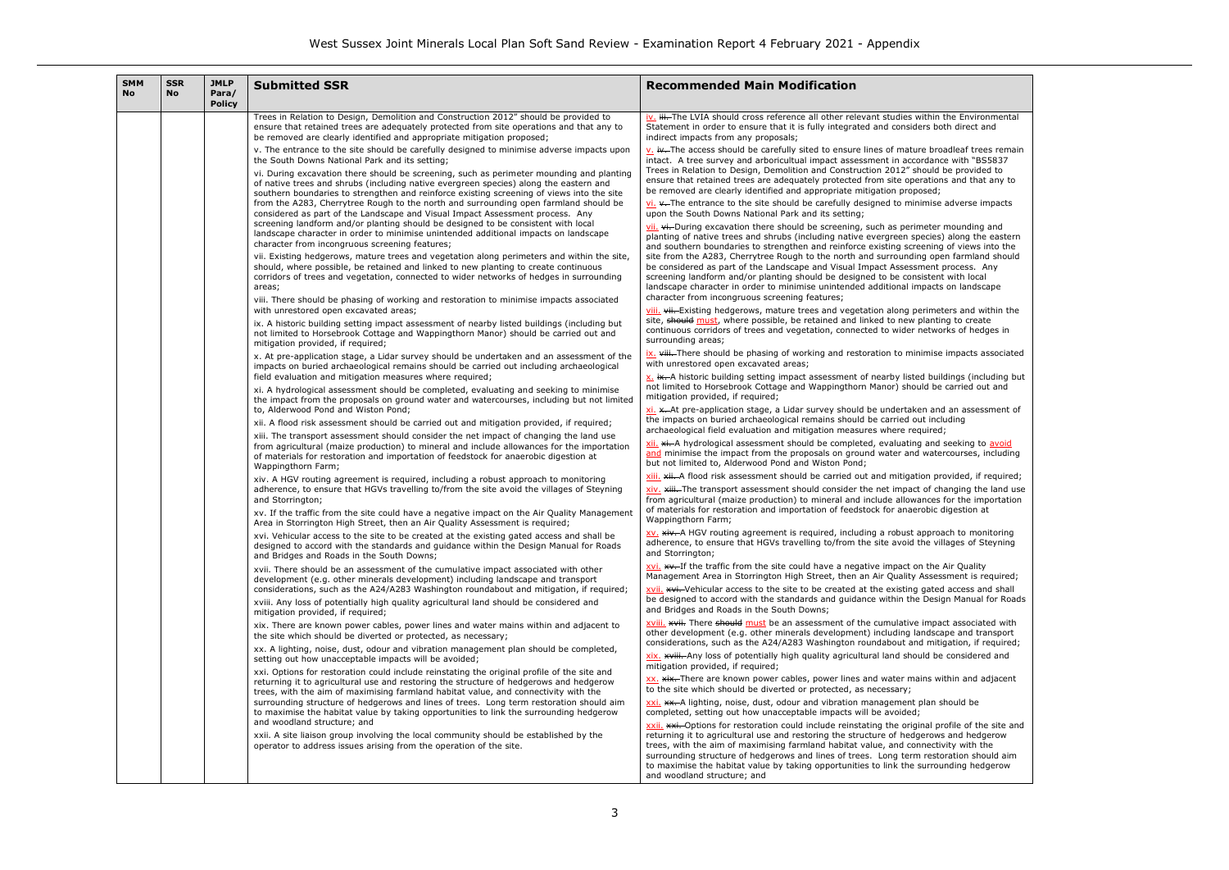#### hin the Environmental s both direct and

broadleaf trees remain dance with "BS5837 uld be provided to tions and that any to

nise adverse impacts

ter mounding and cies) along the eastern  $n$ ing of views into the open farmland should ent process. Any stent with local acts on landscape

imeters and within the anting to create tworks of hedges in

nise impacts associated

buildings (including but I be carried out and

and an assessment of including<br>ired;

and seeking to avoid atercourses, including

provided, if required; f changing the land use ces for the importation bic digestion at

proach to monitoring and in ensure that the site site site site and the site and site site site and site as in the site and site avoid the site areas.

the Air Quality  $s$ essment is required; ated access and shall besign Manual for Roads

mpact associated with other develope and transport mitigation, if required; d be considered and

is within and adjacent

an should be

al profile of the site and rows and hedgerow ectivity with the estoration should aim rrounding hedgerow

| <b>SMM</b><br><b>No</b> | <b>SSR</b><br><b>No</b> | <b>JMLP</b><br>Para/<br><b>Policy</b> | <b>Submitted SSR</b>                                                                                                                                                                                                                                                                                                                                                                                                                                    | <b>Recommended Main Modification</b>                                                                                                                                                                                                                                                                                                                                                                                         |
|-------------------------|-------------------------|---------------------------------------|---------------------------------------------------------------------------------------------------------------------------------------------------------------------------------------------------------------------------------------------------------------------------------------------------------------------------------------------------------------------------------------------------------------------------------------------------------|------------------------------------------------------------------------------------------------------------------------------------------------------------------------------------------------------------------------------------------------------------------------------------------------------------------------------------------------------------------------------------------------------------------------------|
|                         |                         |                                       | Trees in Relation to Design, Demolition and Construction 2012" should be provided to<br>ensure that retained trees are adequately protected from site operations and that any to<br>be removed are clearly identified and appropriate mitigation proposed;                                                                                                                                                                                              | iv. iii. The LVIA should cross reference all other relevant studies within th<br>Statement in order to ensure that it is fully integrated and considers both<br>indirect impacts from any proposals;                                                                                                                                                                                                                         |
|                         |                         |                                       | v. The entrance to the site should be carefully designed to minimise adverse impacts upon<br>the South Downs National Park and its setting;                                                                                                                                                                                                                                                                                                             | v. iv. The access should be carefully sited to ensure lines of mature broa<br>intact. A tree survey and arboricultual impact assessment in accordance                                                                                                                                                                                                                                                                        |
|                         |                         |                                       | vi. During excavation there should be screening, such as perimeter mounding and planting<br>of native trees and shrubs (including native evergreen species) along the eastern and<br>southern boundaries to strengthen and reinforce existing screening of views into the site<br>from the A283, Cherrytree Rough to the north and surrounding open farmland should be<br>considered as part of the Landscape and Visual Impact Assessment process. Any | Trees in Relation to Design, Demolition and Construction 2012" should be<br>ensure that retained trees are adequately protected from site operations<br>be removed are clearly identified and appropriate mitigation proposed;<br>vi. v. The entrance to the site should be carefully designed to minimise a<br>upon the South Downs National Park and its setting;                                                          |
|                         |                         |                                       | screening landform and/or planting should be designed to be consistent with local<br>landscape character in order to minimise unintended additional impacts on landscape<br>character from incongruous screening features;                                                                                                                                                                                                                              | vii. vi. During excavation there should be screening, such as perimeter m<br>planting of native trees and shrubs (including native evergreen species)<br>and southern boundaries to strengthen and reinforce existing screening of                                                                                                                                                                                           |
|                         |                         |                                       | vii. Existing hedgerows, mature trees and vegetation along perimeters and within the site,<br>should, where possible, be retained and linked to new planting to create continuous<br>corridors of trees and vegetation, connected to wider networks of hedges in surrounding<br>areas;                                                                                                                                                                  | site from the A283, Cherrytree Rough to the north and surrounding oper<br>be considered as part of the Landscape and Visual Impact Assessment po<br>screening landform and/or planting should be designed to be consistent<br>landscape character in order to minimise unintended additional impacts of                                                                                                                      |
|                         |                         |                                       | viii. There should be phasing of working and restoration to minimise impacts associated<br>with unrestored open excavated areas;                                                                                                                                                                                                                                                                                                                        | character from incongruous screening features;<br>viii. vii. Existing hedgerows, mature trees and vegetation along perimete                                                                                                                                                                                                                                                                                                  |
|                         |                         |                                       | ix. A historic building setting impact assessment of nearby listed buildings (including but<br>not limited to Horsebrook Cottage and Wappingthorn Manor) should be carried out and<br>mitigation provided, if required;                                                                                                                                                                                                                                 | site, should must, where possible, be retained and linked to new planting<br>continuous corridors of trees and vegetation, connected to wider network<br>surrounding areas;                                                                                                                                                                                                                                                  |
|                         |                         |                                       | x. At pre-application stage, a Lidar survey should be undertaken and an assessment of the<br>impacts on buried archaeological remains should be carried out including archaeological                                                                                                                                                                                                                                                                    | ix. viii. There should be phasing of working and restoration to minimise i<br>with unrestored open excavated areas;                                                                                                                                                                                                                                                                                                          |
|                         |                         |                                       | field evaluation and mitigation measures where required;<br>xi. A hydrological assessment should be completed, evaluating and seeking to minimise<br>the impact from the proposals on ground water and watercourses, including but not limited                                                                                                                                                                                                          | x. ix. A historic building setting impact assessment of nearby listed build<br>not limited to Horsebrook Cottage and Wappingthorn Manor) should be c<br>mitigation provided, if required;                                                                                                                                                                                                                                    |
|                         |                         |                                       | to, Alderwood Pond and Wiston Pond;<br>xii. A flood risk assessment should be carried out and mitigation provided, if required;                                                                                                                                                                                                                                                                                                                         | xi. x. At pre-application stage, a Lidar survey should be undertaken and<br>the impacts on buried archaeological remains should be carried out inclu-<br>archaeological field evaluation and mitigation measures where required;                                                                                                                                                                                             |
|                         |                         |                                       | xiii. The transport assessment should consider the net impact of changing the land use<br>from agricultural (maize production) to mineral and include allowances for the importation<br>of materials for restoration and importation of feedstock for anaerobic digestion at<br>Wappingthorn Farm;                                                                                                                                                      | xii. xi. A hydrological assessment should be completed, evaluating and so<br>and minimise the impact from the proposals on ground water and water<br>but not limited to, Alderwood Pond and Wiston Pond;                                                                                                                                                                                                                     |
|                         |                         |                                       | xiv. A HGV routing agreement is required, including a robust approach to monitoring                                                                                                                                                                                                                                                                                                                                                                     | xiii. xii. A flood risk assessment should be carried out and mitigation pro                                                                                                                                                                                                                                                                                                                                                  |
|                         |                         |                                       | adherence, to ensure that HGVs travelling to/from the site avoid the villages of Steyning<br>and Storrington;                                                                                                                                                                                                                                                                                                                                           | xiv. xiii. The transport assessment should consider the net impact of cha<br>from agricultural (maize production) to mineral and include allowances fo<br>of materials for restoration and importation of feedstock for anaerobic di                                                                                                                                                                                         |
|                         |                         |                                       | xv. If the traffic from the site could have a negative impact on the Air Quality Management<br>Area in Storrington High Street, then an Air Quality Assessment is required;                                                                                                                                                                                                                                                                             | Wappingthorn Farm;                                                                                                                                                                                                                                                                                                                                                                                                           |
|                         |                         |                                       | xvi. Vehicular access to the site to be created at the existing gated access and shall be<br>designed to accord with the standards and guidance within the Design Manual for Roads<br>and Bridges and Roads in the South Downs;                                                                                                                                                                                                                         | XV. xiv. A HGV routing agreement is required, including a robust approac<br>adherence, to ensure that HGVs travelling to/from the site avoid the villa<br>and Storrington;                                                                                                                                                                                                                                                   |
|                         |                         |                                       | xvii. There should be an assessment of the cumulative impact associated with other<br>development (e.g. other minerals development) including landscape and transport<br>considerations, such as the A24/A283 Washington roundabout and mitigation, if required;                                                                                                                                                                                        | xvi. **. If the traffic from the site could have a negative impact on the A<br>Management Area in Storrington High Street, then an Air Quality Assessi<br>xvii. xvii. Vehicular access to the site to be created at the existing gated                                                                                                                                                                                       |
|                         |                         |                                       | xviii. Any loss of potentially high quality agricultural land should be considered and<br>mitigation provided, if required;                                                                                                                                                                                                                                                                                                                             | be designed to accord with the standards and guidance within the Design<br>and Bridges and Roads in the South Downs;                                                                                                                                                                                                                                                                                                         |
|                         |                         |                                       | xix. There are known power cables, power lines and water mains within and adjacent to<br>the site which should be diverted or protected, as necessary;                                                                                                                                                                                                                                                                                                  | xviii. *** There should must be an assessment of the cumulative impact<br>other development (e.g. other minerals development) including landscap<br>considerations, such as the A24/A283 Washington roundabout and mitig-                                                                                                                                                                                                    |
|                         |                         |                                       | xx. A lighting, noise, dust, odour and vibration management plan should be completed,<br>setting out how unacceptable impacts will be avoided;                                                                                                                                                                                                                                                                                                          | xix. ********. Any loss of potentially high quality agricultural land should be<br>mitigation provided, if required;                                                                                                                                                                                                                                                                                                         |
|                         |                         |                                       | xxi. Options for restoration could include reinstating the original profile of the site and<br>returning it to agricultural use and restoring the structure of hedgerows and hedgerow<br>trees, with the aim of maximising farmland habitat value, and connectivity with the                                                                                                                                                                            | XX. XiX. There are known power cables, power lines and water mains with<br>to the site which should be diverted or protected, as necessary;                                                                                                                                                                                                                                                                                  |
|                         |                         |                                       | surrounding structure of hedgerows and lines of trees. Long term restoration should aim<br>to maximise the habitat value by taking opportunities to link the surrounding hedgerow                                                                                                                                                                                                                                                                       | xxi. **. A lighting, noise, dust, odour and vibration management plan sh<br>completed, setting out how unacceptable impacts will be avoided;                                                                                                                                                                                                                                                                                 |
|                         |                         |                                       | and woodland structure; and<br>xxii. A site liaison group involving the local community should be established by the<br>operator to address issues arising from the operation of the site.                                                                                                                                                                                                                                                              | xxii. *** Options for restoration could include reinstating the original pro<br>returning it to agricultural use and restoring the structure of hedgerows<br>trees, with the aim of maximising farmland habitat value, and connectivi<br>surrounding structure of hedgerows and lines of trees. Long term restor<br>to maximise the habitat value by taking opportunities to link the surroun<br>and woodland structure; and |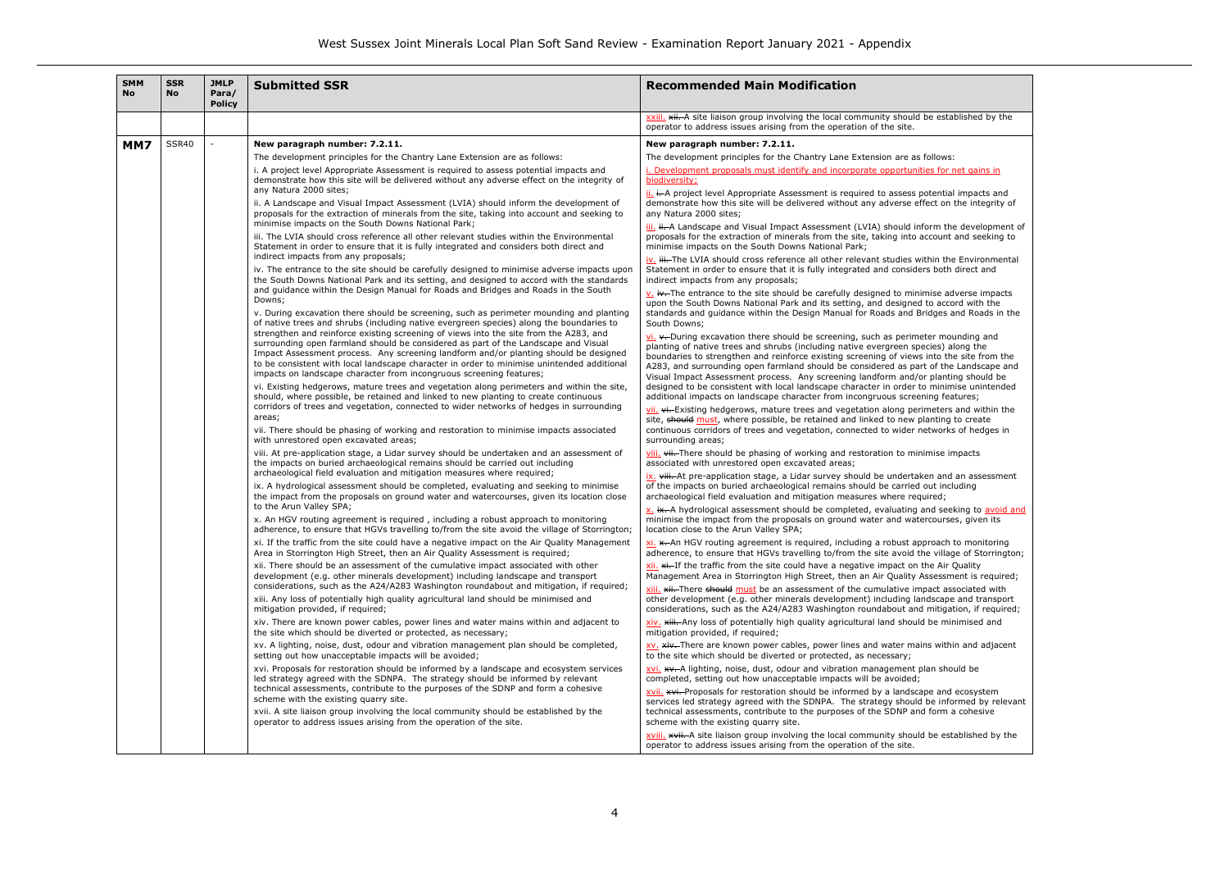## ie established by the

| <b>SMM</b><br><b>No</b> | <b>SSR</b><br><b>No</b> | <b>JMLP</b><br>Para/<br><b>Policy</b> | <b>Submitted SSR</b>                                                                                                                                                                                                                                                                                                                                                                                                                                                                                                                                                                                                                                                                                                                                                                                                                                                                                                                                                                                                                                                                                                                                                                                                                                                                                                                                                                                                                                                                                                                                                                                                                                                                                                                                                                                                                                                                                                                                                                                                                                                                                                                                                                                                                                      | <b>Recommended Main Modification</b>                                                                                                                                                                                                                                                                                                                                                                                                                                                                                                                                                                                                                                                                                                                                                                                                                                                                                                                                                                                                                                                                                                                                                                                                                      |                                                                                                                                                                                                                                                                                                                                                                                                                                                                                                                                                                                                                                                                                                                                                                                                                                                                                                                                                                                                                                         |
|-------------------------|-------------------------|---------------------------------------|-----------------------------------------------------------------------------------------------------------------------------------------------------------------------------------------------------------------------------------------------------------------------------------------------------------------------------------------------------------------------------------------------------------------------------------------------------------------------------------------------------------------------------------------------------------------------------------------------------------------------------------------------------------------------------------------------------------------------------------------------------------------------------------------------------------------------------------------------------------------------------------------------------------------------------------------------------------------------------------------------------------------------------------------------------------------------------------------------------------------------------------------------------------------------------------------------------------------------------------------------------------------------------------------------------------------------------------------------------------------------------------------------------------------------------------------------------------------------------------------------------------------------------------------------------------------------------------------------------------------------------------------------------------------------------------------------------------------------------------------------------------------------------------------------------------------------------------------------------------------------------------------------------------------------------------------------------------------------------------------------------------------------------------------------------------------------------------------------------------------------------------------------------------------------------------------------------------------------------------------------------------|-----------------------------------------------------------------------------------------------------------------------------------------------------------------------------------------------------------------------------------------------------------------------------------------------------------------------------------------------------------------------------------------------------------------------------------------------------------------------------------------------------------------------------------------------------------------------------------------------------------------------------------------------------------------------------------------------------------------------------------------------------------------------------------------------------------------------------------------------------------------------------------------------------------------------------------------------------------------------------------------------------------------------------------------------------------------------------------------------------------------------------------------------------------------------------------------------------------------------------------------------------------|-----------------------------------------------------------------------------------------------------------------------------------------------------------------------------------------------------------------------------------------------------------------------------------------------------------------------------------------------------------------------------------------------------------------------------------------------------------------------------------------------------------------------------------------------------------------------------------------------------------------------------------------------------------------------------------------------------------------------------------------------------------------------------------------------------------------------------------------------------------------------------------------------------------------------------------------------------------------------------------------------------------------------------------------|
|                         |                         |                                       |                                                                                                                                                                                                                                                                                                                                                                                                                                                                                                                                                                                                                                                                                                                                                                                                                                                                                                                                                                                                                                                                                                                                                                                                                                                                                                                                                                                                                                                                                                                                                                                                                                                                                                                                                                                                                                                                                                                                                                                                                                                                                                                                                                                                                                                           | xxiii. ***** A site liaison group involving the local community should be established by the<br>operator to address issues arising from the operation of the site.                                                                                                                                                                                                                                                                                                                                                                                                                                                                                                                                                                                                                                                                                                                                                                                                                                                                                                                                                                                                                                                                                        |                                                                                                                                                                                                                                                                                                                                                                                                                                                                                                                                                                                                                                                                                                                                                                                                                                                                                                                                                                                                                                         |
| MM7                     | SSR40                   |                                       | New paragraph number: 7.2.11.<br>The development principles for the Chantry Lane Extension are as follows:<br>i. A project level Appropriate Assessment is required to assess potential impacts and<br>demonstrate how this site will be delivered without any adverse effect on the integrity of<br>any Natura 2000 sites;<br>ii. A Landscape and Visual Impact Assessment (LVIA) should inform the development of<br>proposals for the extraction of minerals from the site, taking into account and seeking to<br>minimise impacts on the South Downs National Park;<br>iii. The LVIA should cross reference all other relevant studies within the Environmental<br>Statement in order to ensure that it is fully integrated and considers both direct and<br>indirect impacts from any proposals;<br>iv. The entrance to the site should be carefully designed to minimise adverse impacts upon<br>the South Downs National Park and its setting, and designed to accord with the standards<br>and guidance within the Design Manual for Roads and Bridges and Roads in the South<br>Downs;<br>v. During excavation there should be screening, such as perimeter mounding and planting<br>of native trees and shrubs (including native evergreen species) along the boundaries to<br>strengthen and reinforce existing screening of views into the site from the A283, and<br>surrounding open farmland should be considered as part of the Landscape and Visual<br>Impact Assessment process. Any screening landform and/or planting should be designed<br>to be consistent with local landscape character in order to minimise unintended additional<br>impacts on landscape character from incongruous screening features;<br>vi. Existing hedgerows, mature trees and vegetation along perimeters and within the site,<br>should, where possible, be retained and linked to new planting to create continuous<br>corridors of trees and vegetation, connected to wider networks of hedges in surrounding<br>areas;<br>vii. There should be phasing of working and restoration to minimise impacts associated<br>with unrestored open excavated areas;<br>viii. At pre-application stage, a Lidar survey should be undertaken and an assessment of | New paragraph number: 7.2.11.<br>The development principles for the Chantry Lane Extension are as follows:<br>i. Development proposals must identify and incorporate opportunities for net gains in<br>biodiversity;<br>ii. i. A project level Appropriate Assessment is required to assess potential impacts and<br>demonstrate how this site will be delivered without any adverse effect on the integrity of<br>any Natura 2000 sites;<br>iii. ii. A Landscape and Visual Impact Assessment (LVIA) should inform the development of<br>proposals for the extraction of minerals from the site, taking into account and seeking to<br>minimise impacts on the South Downs National Park;<br>iv. iii. The LVIA should cross reference all other relevant studies within the Environmental<br>Statement in order to ensure that it is fully integrated and considers both direct and<br>indirect impacts from any proposals;<br>$\underline{v}$ , iv. The entrance to the site should be carefully designed to minimise adverse impacts                                                                                                                                                                                                                   |                                                                                                                                                                                                                                                                                                                                                                                                                                                                                                                                                                                                                                                                                                                                                                                                                                                                                                                                                                                                                                         |
|                         |                         |                                       |                                                                                                                                                                                                                                                                                                                                                                                                                                                                                                                                                                                                                                                                                                                                                                                                                                                                                                                                                                                                                                                                                                                                                                                                                                                                                                                                                                                                                                                                                                                                                                                                                                                                                                                                                                                                                                                                                                                                                                                                                                                                                                                                                                                                                                                           | upon the South Downs National Park and its setting, and designed to accord with the<br>standards and guidance within the Design Manual for Roads and Bridges and Roads in the<br>South Downs;<br>$\underline{\mathsf{vi}}$ . $\star$ -During excavation there should be screening, such as perimeter mounding and<br>planting of native trees and shrubs (including native evergreen species) along the<br>boundaries to strengthen and reinforce existing screening of views into the site from the<br>A283, and surrounding open farmland should be considered as part of the Landscape and<br>Visual Impact Assessment process. Any screening landform and/or planting should be<br>designed to be consistent with local landscape character in order to minimise unintended<br>additional impacts on landscape character from incongruous screening features;<br>vii. vi. Existing hedgerows, mature trees and vegetation along perimeters and within the<br>site, should must, where possible, be retained and linked to new planting to create<br>continuous corridors of trees and vegetation, connected to wider networks of hedges in<br>surrounding areas;<br>viii. vii. There should be phasing of working and restoration to minimise impacts |                                                                                                                                                                                                                                                                                                                                                                                                                                                                                                                                                                                                                                                                                                                                                                                                                                                                                                                                                                                                                                         |
|                         |                         |                                       | the impacts on buried archaeological remains should be carried out including<br>archaeological field evaluation and mitigation measures where required;<br>ix. A hydrological assessment should be completed, evaluating and seeking to minimise<br>the impact from the proposals on ground water and watercourses, given its location close<br>to the Arun Valley SPA;                                                                                                                                                                                                                                                                                                                                                                                                                                                                                                                                                                                                                                                                                                                                                                                                                                                                                                                                                                                                                                                                                                                                                                                                                                                                                                                                                                                                                                                                                                                                                                                                                                                                                                                                                                                                                                                                                   | associated with unrestored open excavated areas;<br>ix. viii. At pre-application stage, a Lidar survey should be undertaken and an assessment<br>of the impacts on buried archaeological remains should be carried out including<br>archaeological field evaluation and mitigation measures where required;<br>x. ix. A hydrological assessment should be completed, evaluating and seeking to avoid and                                                                                                                                                                                                                                                                                                                                                                                                                                                                                                                                                                                                                                                                                                                                                                                                                                                  |                                                                                                                                                                                                                                                                                                                                                                                                                                                                                                                                                                                                                                                                                                                                                                                                                                                                                                                                                                                                                                         |
|                         |                         |                                       |                                                                                                                                                                                                                                                                                                                                                                                                                                                                                                                                                                                                                                                                                                                                                                                                                                                                                                                                                                                                                                                                                                                                                                                                                                                                                                                                                                                                                                                                                                                                                                                                                                                                                                                                                                                                                                                                                                                                                                                                                                                                                                                                                                                                                                                           | x. An HGV routing agreement is required, including a robust approach to monitoring<br>adherence, to ensure that HGVs travelling to/from the site avoid the village of Storrington;<br>xi. If the traffic from the site could have a negative impact on the Air Quality Management<br>Area in Storrington High Street, then an Air Quality Assessment is required;<br>xii. There should be an assessment of the cumulative impact associated with other<br>development (e.g. other minerals development) including landscape and transport<br>considerations, such as the A24/A283 Washington roundabout and mitigation, if required;<br>xiii. Any loss of potentially high quality agricultural land should be minimised and<br>mitigation provided, if required;<br>xiv. There are known power cables, power lines and water mains within and adjacent to<br>the site which should be diverted or protected, as necessary;<br>xv. A lighting, noise, dust, odour and vibration management plan should be completed,                                                                                                                                                                                                                                      | minimise the impact from the proposals on ground water and watercourses, given its<br>location close to the Arun Valley SPA;<br>$xi$ . $\star$ An HGV routing agreement is required, including a robust approach to monitoring<br>adherence, to ensure that HGVs travelling to/from the site avoid the village of Storrington;<br>$xii$ . $xii$ . If the traffic from the site could have a negative impact on the Air Quality<br>Management Area in Storrington High Street, then an Air Quality Assessment is required;<br>xiii. * *** There should must be an assessment of the cumulative impact associated with<br>other development (e.g. other minerals development) including landscape and transport<br>considerations, such as the A24/A283 Washington roundabout and mitigation, if required;<br>xiv. ******** Any loss of potentially high quality agricultural land should be minimised and<br>mitigation provided, if required;<br>XV, xiv. There are known power cables, power lines and water mains within and adjacent |
|                         |                         |                                       | setting out how unacceptable impacts will be avoided;<br>xvi. Proposals for restoration should be informed by a landscape and ecosystem services<br>led strategy agreed with the SDNPA. The strategy should be informed by relevant<br>technical assessments, contribute to the purposes of the SDNP and form a cohesive<br>scheme with the existing quarry site.<br>xvii. A site liaison group involving the local community should be established by the<br>operator to address issues arising from the operation of the site.                                                                                                                                                                                                                                                                                                                                                                                                                                                                                                                                                                                                                                                                                                                                                                                                                                                                                                                                                                                                                                                                                                                                                                                                                                                                                                                                                                                                                                                                                                                                                                                                                                                                                                                          | to the site which should be diverted or protected, as necessary;<br>xvi. **. A lighting, noise, dust, odour and vibration management plan should be<br>completed, setting out how unacceptable impacts will be avoided;<br>xvii. **i. Proposals for restoration should be informed by a landscape and ecosystem<br>services led strategy agreed with the SDNPA. The strategy should be informed by relevant<br>technical assessments, contribute to the purposes of the SDNP and form a cohesive<br>scheme with the existing quarry site.<br>xviii. ******* A site liaison group involving the local community should be established by the<br>operator to address issues arising from the operation of the site.                                                                                                                                                                                                                                                                                                                                                                                                                                                                                                                                         |                                                                                                                                                                                                                                                                                                                                                                                                                                                                                                                                                                                                                                                                                                                                                                                                                                                                                                                                                                                                                                         |